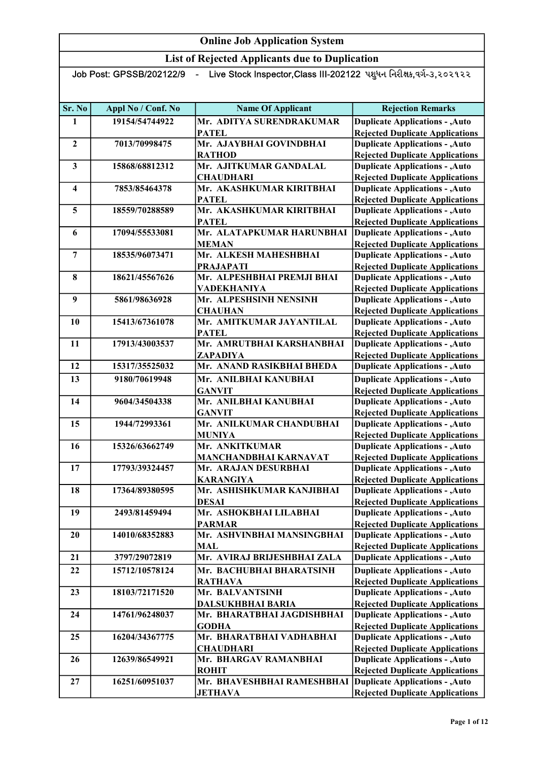List of Rejected Applicants due to Duplication

| - Live Stock Inspector,Class III-202122 પશુધન નિરીક્ષક,વર્ગ-૩,૨૦૨૧૨૨<br>Job Post: GPSSB/202122/9 |                    |                                                            |                                                                                  |  |
|--------------------------------------------------------------------------------------------------|--------------------|------------------------------------------------------------|----------------------------------------------------------------------------------|--|
|                                                                                                  |                    |                                                            |                                                                                  |  |
| Sr. No                                                                                           | Appl No / Conf. No | <b>Name Of Applicant</b>                                   | <b>Rejection Remarks</b>                                                         |  |
| 1                                                                                                | 19154/54744922     | Mr. ADITYA SURENDRAKUMAR                                   | <b>Duplicate Applications - , Auto</b>                                           |  |
|                                                                                                  |                    | <b>PATEL</b>                                               | <b>Rejected Duplicate Applications</b>                                           |  |
| $\overline{2}$                                                                                   | 7013/70998475      | Mr. AJAYBHAI GOVINDBHAI                                    | <b>Duplicate Applications - , Auto</b>                                           |  |
|                                                                                                  |                    | <b>RATHOD</b>                                              | <b>Rejected Duplicate Applications</b>                                           |  |
| 3                                                                                                | 15868/68812312     | Mr. AJITKUMAR GANDALAL                                     | <b>Duplicate Applications - , Auto</b>                                           |  |
|                                                                                                  | 7853/85464378      | <b>CHAUDHARI</b><br>Mr. AKASHKUMAR KIRITBHAI               | <b>Rejected Duplicate Applications</b>                                           |  |
| 4                                                                                                |                    | <b>PATEL</b>                                               | <b>Duplicate Applications - , Auto</b><br><b>Rejected Duplicate Applications</b> |  |
| 5                                                                                                | 18559/70288589     | Mr. AKASHKUMAR KIRITBHAI                                   | <b>Duplicate Applications - , Auto</b>                                           |  |
|                                                                                                  |                    | <b>PATEL</b>                                               | <b>Rejected Duplicate Applications</b>                                           |  |
| 6                                                                                                | 17094/55533081     | Mr. ALATAPKUMAR HARUNBHAI                                  | <b>Duplicate Applications - , Auto</b>                                           |  |
|                                                                                                  |                    | <b>MEMAN</b>                                               | <b>Rejected Duplicate Applications</b>                                           |  |
| $\overline{7}$                                                                                   | 18535/96073471     | Mr. ALKESH MAHESHBHAI                                      | <b>Duplicate Applications - , Auto</b>                                           |  |
|                                                                                                  |                    | <b>PRAJAPATI</b>                                           | <b>Rejected Duplicate Applications</b>                                           |  |
| 8                                                                                                | 18621/45567626     | Mr. ALPESHBHAI PREMJI BHAI                                 | <b>Duplicate Applications - , Auto</b>                                           |  |
|                                                                                                  |                    | VADEKHANIYA                                                | <b>Rejected Duplicate Applications</b>                                           |  |
| 9                                                                                                | 5861/98636928      | Mr. ALPESHSINH NENSINH                                     | <b>Duplicate Applications - , Auto</b>                                           |  |
|                                                                                                  |                    | <b>CHAUHAN</b>                                             | <b>Rejected Duplicate Applications</b>                                           |  |
| 10                                                                                               | 15413/67361078     | Mr. AMITKUMAR JAYANTILAL<br><b>PATEL</b>                   | <b>Duplicate Applications - , Auto</b>                                           |  |
| 11                                                                                               | 17913/43003537     | Mr. AMRUTBHAI KARSHANBHAI                                  | <b>Rejected Duplicate Applications</b><br><b>Duplicate Applications - , Auto</b> |  |
|                                                                                                  |                    | ZAPADIYA                                                   | <b>Rejected Duplicate Applications</b>                                           |  |
| 12                                                                                               | 15317/35525032     | Mr. ANAND RASIKBHAI BHEDA                                  | <b>Duplicate Applications - , Auto</b>                                           |  |
| 13                                                                                               | 9180/70619948      | Mr. ANILBHAI KANUBHAI                                      | <b>Duplicate Applications - , Auto</b>                                           |  |
|                                                                                                  |                    | <b>GANVIT</b>                                              | <b>Rejected Duplicate Applications</b>                                           |  |
| 14                                                                                               | 9604/34504338      | Mr. ANILBHAI KANUBHAI                                      | <b>Duplicate Applications - , Auto</b>                                           |  |
|                                                                                                  |                    | <b>GANVIT</b>                                              | <b>Rejected Duplicate Applications</b>                                           |  |
| 15                                                                                               | 1944/72993361      | Mr. ANILKUMAR CHANDUBHAI                                   | <b>Duplicate Applications - , Auto</b>                                           |  |
|                                                                                                  |                    | <b>MUNIYA</b>                                              | <b>Rejected Duplicate Applications</b>                                           |  |
| 16                                                                                               | 15326/63662749     | Mr. ANKITKUMAR                                             | <b>Duplicate Applications - , Auto</b>                                           |  |
|                                                                                                  |                    | MANCHANDBHAI KARNAVAT                                      | <b>Rejected Duplicate Applications</b>                                           |  |
| 17                                                                                               | 17793/39324457     | Mr. ARAJAN DESURBHAI                                       | <b>Duplicate Applications - , Auto</b>                                           |  |
| 18                                                                                               | 17364/89380595     | <b>KARANGIYA</b><br>Mr. ASHISHKUMAR KANJIBHAI              | <b>Rejected Duplicate Applications</b><br><b>Duplicate Applications - , Auto</b> |  |
|                                                                                                  |                    | <b>DESAI</b>                                               | <b>Rejected Duplicate Applications</b>                                           |  |
| 19                                                                                               | 2493/81459494      | Mr. ASHOKBHAI LILABHAI                                     | <b>Duplicate Applications - , Auto</b>                                           |  |
|                                                                                                  |                    | <b>PARMAR</b>                                              | <b>Rejected Duplicate Applications</b>                                           |  |
| 20                                                                                               | 14010/68352883     | Mr. ASHVINBHAI MANSINGBHAI                                 | <b>Duplicate Applications - , Auto</b>                                           |  |
|                                                                                                  |                    | <b>MAL</b>                                                 | <b>Rejected Duplicate Applications</b>                                           |  |
| 21                                                                                               | 3797/29072819      | Mr. AVIRAJ BRIJESHBHAI ZALA                                | <b>Duplicate Applications - , Auto</b>                                           |  |
| 22                                                                                               | 15712/10578124     | Mr. BACHUBHAI BHARATSINH                                   | <b>Duplicate Applications - , Auto</b>                                           |  |
|                                                                                                  |                    | <b>RATHAVA</b>                                             | <b>Rejected Duplicate Applications</b>                                           |  |
| 23                                                                                               | 18103/72171520     | Mr. BALVANTSINH                                            | <b>Duplicate Applications - , Auto</b>                                           |  |
|                                                                                                  |                    | <b>DALSUKHBHAI BARIA</b>                                   | <b>Rejected Duplicate Applications</b>                                           |  |
| 24                                                                                               | 14761/96248037     | Mr. BHARATBHAI JAGDISHBHAI                                 | <b>Duplicate Applications - , Auto</b>                                           |  |
|                                                                                                  |                    | <b>GODHA</b><br>Mr. BHARATBHAI VADHABHAI                   | <b>Rejected Duplicate Applications</b>                                           |  |
| 25                                                                                               | 16204/34367775     | <b>CHAUDHARI</b>                                           | <b>Duplicate Applications - , Auto</b><br><b>Rejected Duplicate Applications</b> |  |
| 26                                                                                               | 12639/86549921     | Mr. BHARGAV RAMANBHAI                                      | <b>Duplicate Applications - , Auto</b>                                           |  |
|                                                                                                  |                    | <b>ROHIT</b>                                               | <b>Rejected Duplicate Applications</b>                                           |  |
| 27                                                                                               | 16251/60951037     | Mr. BHAVESHBHAI RAMESHBHAI Duplicate Applications - , Auto |                                                                                  |  |
|                                                                                                  |                    | <b>JETHAVA</b>                                             | <b>Rejected Duplicate Applications</b>                                           |  |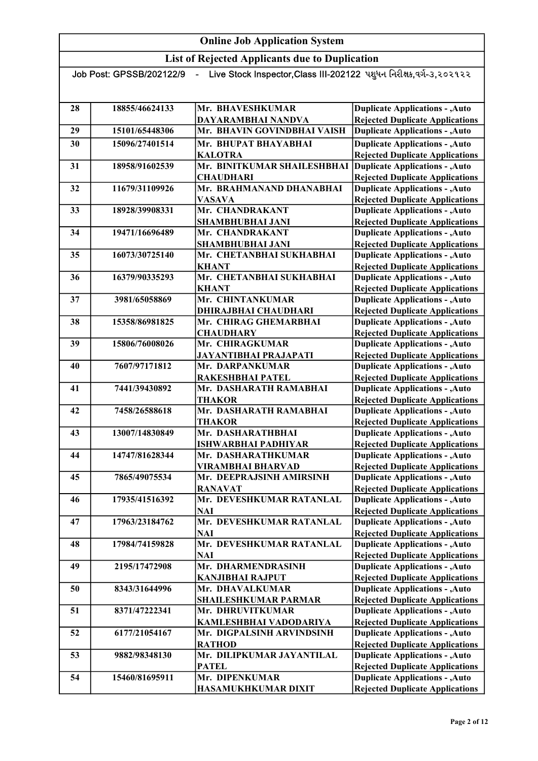| - Live Stock Inspector,Class III-202122 પશુધન નિરીક્ષક,વર્ગ-૩,૨૦૨૧૨૨<br>Job Post: GPSSB/202122/9 |                |                              |                                        |
|--------------------------------------------------------------------------------------------------|----------------|------------------------------|----------------------------------------|
|                                                                                                  |                |                              |                                        |
|                                                                                                  |                |                              |                                        |
| 28                                                                                               | 18855/46624133 | Mr. BHAVESHKUMAR             | <b>Duplicate Applications - , Auto</b> |
|                                                                                                  |                | DAYARAMBHAI NANDVA           | <b>Rejected Duplicate Applications</b> |
| 29                                                                                               | 15101/65448306 | Mr. BHAVIN GOVINDBHAI VAISH  | <b>Duplicate Applications - , Auto</b> |
| 30                                                                                               | 15096/27401514 | Mr. BHUPAT BHAYABHAI         | <b>Duplicate Applications - , Auto</b> |
|                                                                                                  |                | <b>KALOTRA</b>               | <b>Rejected Duplicate Applications</b> |
| 31                                                                                               | 18958/91602539 | Mr. BINITKUMAR SHAILESHBHAI  | <b>Duplicate Applications - , Auto</b> |
|                                                                                                  |                | <b>CHAUDHARI</b>             | <b>Rejected Duplicate Applications</b> |
| 32                                                                                               | 11679/31109926 | Mr. BRAHMANAND DHANABHAI     | <b>Duplicate Applications - , Auto</b> |
|                                                                                                  |                | <b>VASAVA</b>                | <b>Rejected Duplicate Applications</b> |
| 33                                                                                               | 18928/39908331 | Mr. CHANDRAKANT              | <b>Duplicate Applications - , Auto</b> |
|                                                                                                  |                | <b>SHAMBHUBHAI JANI</b>      | <b>Rejected Duplicate Applications</b> |
| 34                                                                                               | 19471/16696489 | Mr. CHANDRAKANT              | <b>Duplicate Applications - , Auto</b> |
|                                                                                                  |                | <b>SHAMBHUBHAI JANI</b>      | <b>Rejected Duplicate Applications</b> |
| 35                                                                                               | 16073/30725140 | Mr. CHETANBHAI SUKHABHAI     | <b>Duplicate Applications - , Auto</b> |
|                                                                                                  |                | <b>KHANT</b>                 | <b>Rejected Duplicate Applications</b> |
| 36                                                                                               | 16379/90335293 | Mr. CHETANBHAI SUKHABHAI     | <b>Duplicate Applications - , Auto</b> |
|                                                                                                  |                | <b>KHANT</b>                 | <b>Rejected Duplicate Applications</b> |
| 37                                                                                               | 3981/65058869  | Mr. CHINTANKUMAR             | <b>Duplicate Applications - , Auto</b> |
|                                                                                                  |                | <b>DHIRAJBHAI CHAUDHARI</b>  | <b>Rejected Duplicate Applications</b> |
| 38                                                                                               | 15358/86981825 | Mr. CHIRAG GHEMARBHAI        | <b>Duplicate Applications - , Auto</b> |
|                                                                                                  |                | <b>CHAUDHARY</b>             | <b>Rejected Duplicate Applications</b> |
| 39                                                                                               | 15806/76008026 | Mr. CHIRAGKUMAR              | <b>Duplicate Applications - , Auto</b> |
|                                                                                                  |                | <b>JAYANTIBHAI PRAJAPATI</b> | <b>Rejected Duplicate Applications</b> |
| 40                                                                                               | 7607/97171812  | Mr. DARPANKUMAR              | <b>Duplicate Applications - , Auto</b> |
|                                                                                                  |                | RAKESHBHAI PATEL             | <b>Rejected Duplicate Applications</b> |
| 41                                                                                               | 7441/39430892  | Mr. DASHARATH RAMABHAI       | <b>Duplicate Applications - , Auto</b> |
|                                                                                                  |                | <b>THAKOR</b>                | <b>Rejected Duplicate Applications</b> |
| 42                                                                                               | 7458/26588618  | Mr. DASHARATH RAMABHAI       | <b>Duplicate Applications - , Auto</b> |
|                                                                                                  |                | <b>THAKOR</b>                | <b>Rejected Duplicate Applications</b> |
| 43                                                                                               | 13007/14830849 | Mr. DASHARATHBHAI            | <b>Duplicate Applications - , Auto</b> |
|                                                                                                  |                | <b>ISHWARBHAI PADHIYAR</b>   | <b>Rejected Duplicate Applications</b> |
| 44                                                                                               | 14747/81628344 | Mr. DASHARATHKUMAR           | <b>Duplicate Applications - , Auto</b> |
|                                                                                                  |                | <b>VIRAMBHAI BHARVAD</b>     | <b>Rejected Duplicate Applications</b> |
| 45                                                                                               | 7865/49075534  | Mr. DEEPRAJSINH AMIRSINH     | <b>Duplicate Applications - , Auto</b> |
|                                                                                                  |                | <b>RANAVAT</b>               | <b>Rejected Duplicate Applications</b> |
| 46                                                                                               | 17935/41516392 | Mr. DEVESHKUMAR RATANLAL     | <b>Duplicate Applications - , Auto</b> |
|                                                                                                  |                | <b>NAI</b>                   | <b>Rejected Duplicate Applications</b> |
| 47                                                                                               | 17963/23184762 | Mr. DEVESHKUMAR RATANLAL     | <b>Duplicate Applications - , Auto</b> |
|                                                                                                  |                | <b>NAI</b>                   | <b>Rejected Duplicate Applications</b> |
| 48                                                                                               | 17984/74159828 | Mr. DEVESHKUMAR RATANLAL     | <b>Duplicate Applications - , Auto</b> |
|                                                                                                  |                | <b>NAI</b>                   | <b>Rejected Duplicate Applications</b> |
| 49                                                                                               | 2195/17472908  | Mr. DHARMENDRASINH           | <b>Duplicate Applications - , Auto</b> |
|                                                                                                  |                | <b>KANJIBHAI RAJPUT</b>      | <b>Rejected Duplicate Applications</b> |
| 50                                                                                               | 8343/31644996  | Mr. DHAVALKUMAR              | <b>Duplicate Applications - , Auto</b> |
|                                                                                                  |                | <b>SHAILESHKUMAR PARMAR</b>  | <b>Rejected Duplicate Applications</b> |
| 51                                                                                               | 8371/47222341  | Mr. DHRUVITKUMAR             | <b>Duplicate Applications - , Auto</b> |
|                                                                                                  |                | KAMLESHBHAI VADODARIYA       | <b>Rejected Duplicate Applications</b> |
| 52                                                                                               | 6177/21054167  | Mr. DIGPALSINH ARVINDSINH    | <b>Duplicate Applications - , Auto</b> |
|                                                                                                  |                | <b>RATHOD</b>                | <b>Rejected Duplicate Applications</b> |
| 53                                                                                               | 9882/98348130  | Mr. DILIPKUMAR JAYANTILAL    | <b>Duplicate Applications - , Auto</b> |
|                                                                                                  |                | <b>PATEL</b>                 | <b>Rejected Duplicate Applications</b> |
| 54                                                                                               | 15460/81695911 | Mr. DIPENKUMAR               | <b>Duplicate Applications - , Auto</b> |
|                                                                                                  |                | <b>HASAMUKHKUMAR DIXIT</b>   | <b>Rejected Duplicate Applications</b> |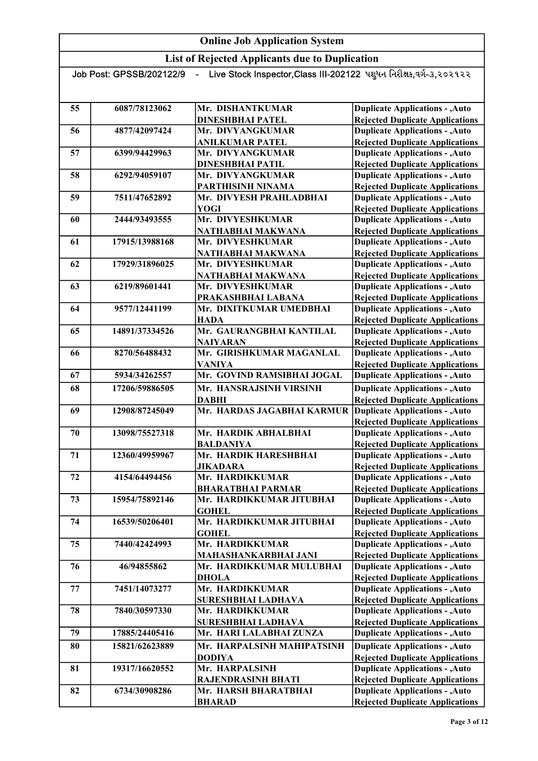| - Live Stock Inspector,Class III-202122 પશુધન નિરીક્ષક,વર્ગ-૩,૨૦૨૧૨૨<br>Job Post: GPSSB/202122/9 |                |                                                  |                                                                                  |
|--------------------------------------------------------------------------------------------------|----------------|--------------------------------------------------|----------------------------------------------------------------------------------|
|                                                                                                  |                |                                                  |                                                                                  |
|                                                                                                  |                |                                                  |                                                                                  |
| 55                                                                                               | 6087/78123062  | Mr. DISHANTKUMAR                                 | <b>Duplicate Applications - , Auto</b>                                           |
|                                                                                                  |                | <b>DINESHBHAI PATEL</b>                          | <b>Rejected Duplicate Applications</b>                                           |
| 56                                                                                               | 4877/42097424  | Mr. DIVYANGKUMAR                                 | <b>Duplicate Applications - , Auto</b>                                           |
|                                                                                                  |                | <b>ANILKUMAR PATEL</b>                           | <b>Rejected Duplicate Applications</b>                                           |
| 57                                                                                               | 6399/94429963  | Mr. DIVYANGKUMAR                                 | <b>Duplicate Applications - , Auto</b>                                           |
|                                                                                                  |                | <b>DINESHBHAI PATIL</b>                          | <b>Rejected Duplicate Applications</b>                                           |
| 58                                                                                               | 6292/94059107  | Mr. DIVYANGKUMAR                                 | <b>Duplicate Applications - , Auto</b>                                           |
|                                                                                                  |                | PARTHISINH NINAMA                                | <b>Rejected Duplicate Applications</b>                                           |
| 59                                                                                               | 7511/47652892  | Mr. DIVYESH PRAHLADBHAI                          | <b>Duplicate Applications - , Auto</b>                                           |
|                                                                                                  |                | <b>YOGI</b>                                      | <b>Rejected Duplicate Applications</b>                                           |
| 60                                                                                               | 2444/93493555  | Mr. DIVYESHKUMAR                                 | <b>Duplicate Applications - , Auto</b>                                           |
|                                                                                                  |                | NATHABHAI MAKWANA                                | <b>Rejected Duplicate Applications</b>                                           |
| 61                                                                                               | 17915/13988168 | Mr. DIVYESHKUMAR                                 | <b>Duplicate Applications - , Auto</b>                                           |
|                                                                                                  |                | NATHABHAI MAKWANA                                | <b>Rejected Duplicate Applications</b>                                           |
| 62                                                                                               | 17929/31896025 | Mr. DIVYESHKUMAR                                 | <b>Duplicate Applications - , Auto</b>                                           |
|                                                                                                  |                | NATHABHAI MAKWANA                                | <b>Rejected Duplicate Applications</b>                                           |
| 63                                                                                               | 6219/89601441  | Mr. DIVYESHKUMAR                                 | <b>Duplicate Applications - , Auto</b>                                           |
|                                                                                                  |                | PRAKASHBHAI LABANA                               | <b>Rejected Duplicate Applications</b>                                           |
| 64                                                                                               | 9577/12441199  | Mr. DIXITKUMAR UMEDBHAI                          | <b>Duplicate Applications - , Auto</b>                                           |
|                                                                                                  |                | <b>HADA</b>                                      | <b>Rejected Duplicate Applications</b>                                           |
| 65                                                                                               | 14891/37334526 | Mr. GAURANGBHAI KANTILAL                         | <b>Duplicate Applications - , Auto</b>                                           |
|                                                                                                  |                | <b>NAIYARAN</b>                                  | <b>Rejected Duplicate Applications</b>                                           |
| 66                                                                                               | 8270/56488432  | Mr. GIRISHKUMAR MAGANLAL                         | <b>Duplicate Applications - , Auto</b>                                           |
|                                                                                                  |                | <b>VANIYA</b>                                    | <b>Rejected Duplicate Applications</b>                                           |
| 67                                                                                               | 5934/34262557  | Mr. GOVIND RAMSIBHAI JOGAL                       | <b>Duplicate Applications - , Auto</b>                                           |
| 68                                                                                               | 17206/59886505 | Mr. HANSRAJSINH VIRSINH                          | <b>Duplicate Applications - , Auto</b>                                           |
|                                                                                                  |                | <b>DABHI</b>                                     | <b>Rejected Duplicate Applications</b>                                           |
| 69                                                                                               | 12908/87245049 | Mr. HARDAS JAGABHAI KARMUR                       | <b>Duplicate Applications - , Auto</b>                                           |
|                                                                                                  |                |                                                  | <b>Rejected Duplicate Applications</b>                                           |
| 70                                                                                               | 13098/75527318 | Mr. HARDIK ABHALBHAI                             | <b>Duplicate Applications - , Auto</b>                                           |
|                                                                                                  |                | <b>BALDANIYA</b>                                 | <b>Rejected Duplicate Applications</b>                                           |
| 71                                                                                               | 12360/49959967 | Mr. HARDIK HARESHBHAI                            | <b>Duplicate Applications - , Auto</b>                                           |
|                                                                                                  |                | <b>JIKADARA</b>                                  | <b>Rejected Duplicate Applications</b>                                           |
| 72                                                                                               | 4154/64494456  | Mr. HARDIKKUMAR                                  | <b>Duplicate Applications - , Auto</b>                                           |
|                                                                                                  |                | <b>BHARATBHAI PARMAR</b>                         | <b>Rejected Duplicate Applications</b>                                           |
| 73                                                                                               | 15954/75892146 | Mr. HARDIKKUMAR JITUBHAI                         | <b>Duplicate Applications - , Auto</b>                                           |
|                                                                                                  |                | <b>GOHEL</b><br>Mr. HARDIKKUMAR JITUBHAI         | <b>Rejected Duplicate Applications</b>                                           |
| 74                                                                                               | 16539/50206401 |                                                  | <b>Duplicate Applications - , Auto</b>                                           |
|                                                                                                  | 7440/42424993  | <b>GOHEL</b><br>Mr. HARDIKKUMAR                  | <b>Rejected Duplicate Applications</b>                                           |
| 75                                                                                               |                |                                                  | <b>Duplicate Applications - , Auto</b><br><b>Rejected Duplicate Applications</b> |
| 76                                                                                               | 46/94855862    | MAHASHANKARBHAI JANI<br>Mr. HARDIKKUMAR MULUBHAI | <b>Duplicate Applications - , Auto</b>                                           |
|                                                                                                  |                |                                                  | <b>Rejected Duplicate Applications</b>                                           |
| 77                                                                                               | 7451/14073277  | <b>DHOLA</b><br>Mr. HARDIKKUMAR                  | <b>Duplicate Applications - , Auto</b>                                           |
|                                                                                                  |                |                                                  |                                                                                  |
|                                                                                                  |                | <b>SURESHBHAI LADHAVA</b>                        | <b>Rejected Duplicate Applications</b>                                           |
| 78                                                                                               | 7840/30597330  | Mr. HARDIKKUMAR                                  | <b>Duplicate Applications - , Auto</b>                                           |
| 79                                                                                               | 17885/24405416 | SURESHBHAI LADHAVA<br>Mr. HARI LALABHAI ZUNZA    | <b>Rejected Duplicate Applications</b><br><b>Duplicate Applications - , Auto</b> |
|                                                                                                  |                |                                                  |                                                                                  |
| 80                                                                                               | 15821/62623889 | Mr. HARPALSINH MAHIPATSINH                       | <b>Duplicate Applications - , Auto</b>                                           |
|                                                                                                  |                | <b>DODIYA</b>                                    | <b>Rejected Duplicate Applications</b>                                           |
| 81                                                                                               | 19317/16620552 | Mr. HARPALSINH                                   | <b>Duplicate Applications - , Auto</b>                                           |
|                                                                                                  |                | <b>RAJENDRASINH BHATI</b>                        | <b>Rejected Duplicate Applications</b>                                           |
| 82                                                                                               | 6734/30908286  | Mr. HARSH BHARATBHAI                             | <b>Duplicate Applications - , Auto</b>                                           |
|                                                                                                  |                | <b>BHARAD</b>                                    | <b>Rejected Duplicate Applications</b>                                           |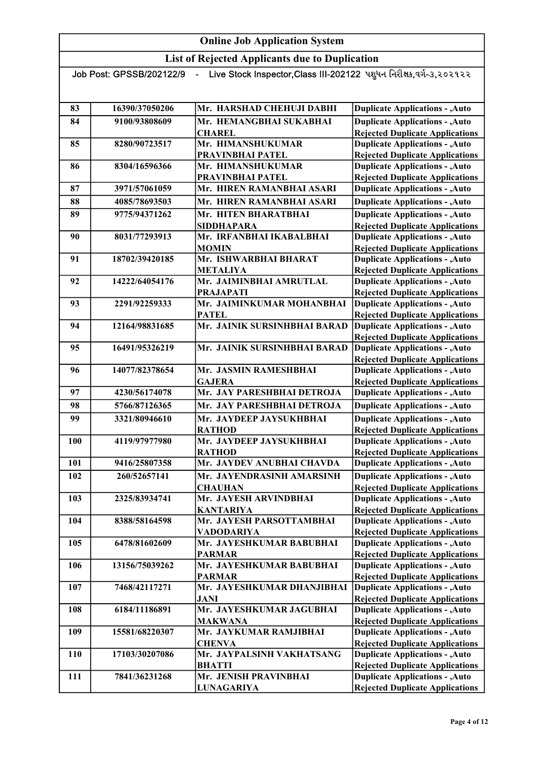| Live Stock Inspector, Class III-202122 પશુધન નિરીક્ષક,વર્ગ-૩,૨૦૨૧૨૨<br>Job Post: GPSSB/202122/9 |                |                                            |                                                                                  |
|-------------------------------------------------------------------------------------------------|----------------|--------------------------------------------|----------------------------------------------------------------------------------|
|                                                                                                 |                |                                            |                                                                                  |
|                                                                                                 |                |                                            |                                                                                  |
| 83                                                                                              | 16390/37050206 | Mr. HARSHAD CHEHUJI DABHI                  | <b>Duplicate Applications - , Auto</b>                                           |
| 84                                                                                              | 9100/93808609  | Mr. HEMANGBHAI SUKABHAI                    | <b>Duplicate Applications - , Auto</b>                                           |
|                                                                                                 |                | <b>CHAREL</b>                              | <b>Rejected Duplicate Applications</b>                                           |
| 85                                                                                              | 8280/90723517  | Mr. HIMANSHUKUMAR                          | <b>Duplicate Applications - , Auto</b>                                           |
|                                                                                                 |                | PRAVINBHAI PATEL                           | <b>Rejected Duplicate Applications</b>                                           |
| 86                                                                                              | 8304/16596366  | Mr. HIMANSHUKUMAR                          | <b>Duplicate Applications - , Auto</b>                                           |
|                                                                                                 |                | PRAVINBHAI PATEL                           | <b>Rejected Duplicate Applications</b>                                           |
| 87                                                                                              | 3971/57061059  | Mr. HIREN RAMANBHAI ASARI                  | <b>Duplicate Applications - , Auto</b>                                           |
| 88                                                                                              | 4085/78693503  | Mr. HIREN RAMANBHAI ASARI                  | <b>Duplicate Applications - , Auto</b>                                           |
| 89                                                                                              | 9775/94371262  | Mr. HITEN BHARATBHAI                       | <b>Duplicate Applications - , Auto</b>                                           |
|                                                                                                 |                | <b>SIDDHAPARA</b>                          | <b>Rejected Duplicate Applications</b>                                           |
| 90                                                                                              | 8031/77293913  | Mr. IRFANBHAI IKABALBHAI                   | <b>Duplicate Applications - , Auto</b>                                           |
|                                                                                                 |                | <b>MOMIN</b>                               | <b>Rejected Duplicate Applications</b>                                           |
| 91                                                                                              | 18702/39420185 | Mr. ISHWARBHAI BHARAT                      | <b>Duplicate Applications - , Auto</b>                                           |
|                                                                                                 |                | <b>METALIYA</b>                            | <b>Rejected Duplicate Applications</b>                                           |
| 92                                                                                              | 14222/64054176 | Mr. JAIMINBHAI AMRUTLAL                    | <b>Duplicate Applications - , Auto</b>                                           |
|                                                                                                 |                | <b>PRAJAPATI</b>                           | <b>Rejected Duplicate Applications</b>                                           |
| 93                                                                                              | 2291/92259333  | Mr. JAIMINKUMAR MOHANBHAI                  | <b>Duplicate Applications - , Auto</b>                                           |
|                                                                                                 |                | <b>PATEL</b>                               | <b>Rejected Duplicate Applications</b>                                           |
| 94                                                                                              | 12164/98831685 | Mr. JAINIK SURSINHBHAI BARAD               | <b>Duplicate Applications - , Auto</b>                                           |
|                                                                                                 |                |                                            | <b>Rejected Duplicate Applications</b>                                           |
| 95                                                                                              | 16491/95326219 | Mr. JAINIK SURSINHBHAI BARAD               | <b>Duplicate Applications - , Auto</b>                                           |
|                                                                                                 |                |                                            | <b>Rejected Duplicate Applications</b>                                           |
| 96                                                                                              | 14077/82378654 | Mr. JASMIN RAMESHBHAI                      | <b>Duplicate Applications - , Auto</b>                                           |
|                                                                                                 |                | <b>GAJERA</b>                              | <b>Rejected Duplicate Applications</b>                                           |
| 97                                                                                              | 4230/56174078  | Mr. JAY PARESHBHAI DETROJA                 | <b>Duplicate Applications - , Auto</b>                                           |
| 98                                                                                              | 5766/87126365  | Mr. JAY PARESHBHAI DETROJA                 | <b>Duplicate Applications - , Auto</b>                                           |
| 99                                                                                              | 3321/80946610  | Mr. JAYDEEP JAYSUKHBHAI                    | <b>Duplicate Applications - , Auto</b>                                           |
|                                                                                                 |                | <b>RATHOD</b>                              | <b>Rejected Duplicate Applications</b>                                           |
| 100                                                                                             | 4119/97977980  | Mr. JAYDEEP JAYSUKHBHAI                    | <b>Duplicate Applications - , Auto</b>                                           |
|                                                                                                 |                | <b>RATHOD</b>                              | <b>Rejected Duplicate Applications</b>                                           |
| 101                                                                                             | 9416/25807358  | Mr. JAYDEV ANUBHAI CHAVDA                  | <b>Duplicate Applications - , Auto</b>                                           |
| 102                                                                                             | 260/52657141   | Mr. JAYENDRASINH AMARSINH                  | <b>Duplicate Applications - , Auto</b>                                           |
|                                                                                                 |                | <b>CHAUHAN</b>                             | <b>Rejected Duplicate Applications</b>                                           |
| 103                                                                                             | 2325/83934741  | Mr. JAYESH ARVINDBHAI                      | <b>Duplicate Applications - , Auto</b>                                           |
|                                                                                                 |                | <b>KANTARIYA</b>                           | <b>Rejected Duplicate Applications</b>                                           |
| 104                                                                                             | 8388/58164598  | Mr. JAYESH PARSOTTAMBHAI                   | <b>Duplicate Applications - , Auto</b>                                           |
|                                                                                                 |                | <b>VADODARIYA</b>                          | <b>Rejected Duplicate Applications</b>                                           |
| 105                                                                                             | 6478/81602609  | Mr. JAYESHKUMAR BABUBHAI                   | <b>Duplicate Applications - , Auto</b>                                           |
|                                                                                                 |                | <b>PARMAR</b>                              | <b>Rejected Duplicate Applications</b>                                           |
| 106                                                                                             | 13156/75039262 | Mr. JAYESHKUMAR BABUBHAI                   | <b>Duplicate Applications - , Auto</b>                                           |
|                                                                                                 |                | <b>PARMAR</b>                              | <b>Rejected Duplicate Applications</b>                                           |
| 107                                                                                             | 7468/42117271  | Mr. JAYESHKUMAR DHANJIBHAI                 | Duplicate Applications - , Auto                                                  |
|                                                                                                 |                | <b>JANI</b><br>Mr. JAYESHKUMAR JAGUBHAI    | <b>Rejected Duplicate Applications</b>                                           |
| 108                                                                                             | 6184/11186891  |                                            | <b>Duplicate Applications - , Auto</b>                                           |
|                                                                                                 |                | <b>MAKWANA</b><br>Mr. JAYKUMAR RAMJIBHAI   | <b>Rejected Duplicate Applications</b><br><b>Duplicate Applications - , Auto</b> |
| 109                                                                                             | 15581/68220307 |                                            |                                                                                  |
| 110                                                                                             | 17103/30207086 | <b>CHENVA</b><br>Mr. JAYPALSINH VAKHATSANG | <b>Rejected Duplicate Applications</b><br><b>Duplicate Applications - , Auto</b> |
|                                                                                                 |                | <b>BHATTI</b>                              | <b>Rejected Duplicate Applications</b>                                           |
| 111                                                                                             | 7841/36231268  | Mr. JENISH PRAVINBHAI                      | <b>Duplicate Applications - , Auto</b>                                           |
|                                                                                                 |                | <b>LUNAGARIYA</b>                          | <b>Rejected Duplicate Applications</b>                                           |
|                                                                                                 |                |                                            |                                                                                  |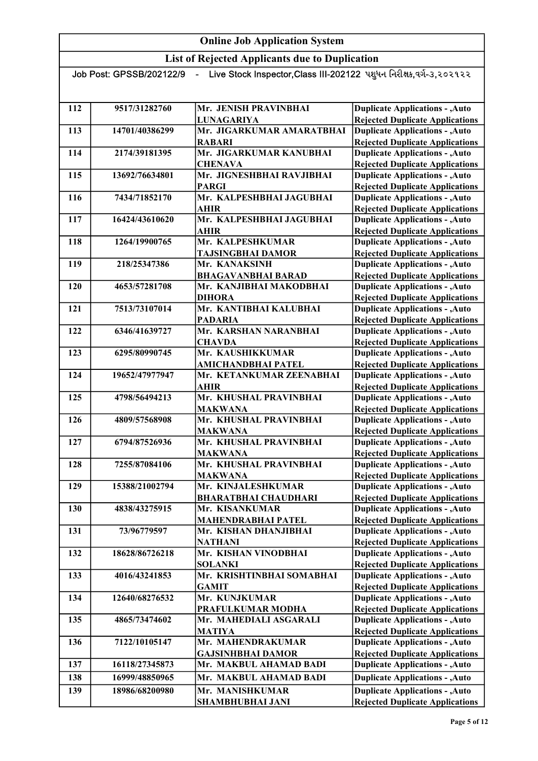List of Rejected Applicants due to Duplication

| - Live Stock Inspector,Class III-202122 પશુધન નિરીક્ષક,વર્ગ-૩,૨૦૨૧૨૨<br>Job Post: GPSSB/202122/9<br>$\blacksquare$ |                |                             |                                        |
|--------------------------------------------------------------------------------------------------------------------|----------------|-----------------------------|----------------------------------------|
|                                                                                                                    |                |                             |                                        |
|                                                                                                                    |                |                             |                                        |
| 112                                                                                                                | 9517/31282760  | Mr. JENISH PRAVINBHAI       | <b>Duplicate Applications - , Auto</b> |
|                                                                                                                    |                | <b>LUNAGARIYA</b>           | <b>Rejected Duplicate Applications</b> |
| 113                                                                                                                | 14701/40386299 | Mr. JIGARKUMAR AMARATBHAI   | <b>Duplicate Applications - , Auto</b> |
|                                                                                                                    |                | <b>RABARI</b>               | <b>Rejected Duplicate Applications</b> |
| 114                                                                                                                | 2174/39181395  | Mr. JIGARKUMAR KANUBHAI     | <b>Duplicate Applications - , Auto</b> |
|                                                                                                                    |                | <b>CHENAVA</b>              | <b>Rejected Duplicate Applications</b> |
| 115                                                                                                                | 13692/76634801 | Mr. JIGNESHBHAI RAVJIBHAI   | <b>Duplicate Applications - , Auto</b> |
|                                                                                                                    |                | <b>PARGI</b>                | <b>Rejected Duplicate Applications</b> |
| 116                                                                                                                | 7434/71852170  | Mr. KALPESHBHAI JAGUBHAI    | <b>Duplicate Applications - , Auto</b> |
|                                                                                                                    |                | <b>AHIR</b>                 | <b>Rejected Duplicate Applications</b> |
| 117                                                                                                                | 16424/43610620 | Mr. KALPESHBHAI JAGUBHAI    | <b>Duplicate Applications - , Auto</b> |
|                                                                                                                    |                | <b>AHIR</b>                 | <b>Rejected Duplicate Applications</b> |
| 118                                                                                                                | 1264/19900765  | Mr. KALPESHKUMAR            | <b>Duplicate Applications - , Auto</b> |
|                                                                                                                    |                | <b>TAJSINGBHAI DAMOR</b>    | <b>Rejected Duplicate Applications</b> |
| 119                                                                                                                | 218/25347386   | Mr. KANAKSINH               | <b>Duplicate Applications - , Auto</b> |
|                                                                                                                    |                | <b>BHAGAVANBHAI BARAD</b>   | <b>Rejected Duplicate Applications</b> |
| 120                                                                                                                | 4653/57281708  | Mr. KANJIBHAI MAKODBHAI     | <b>Duplicate Applications - , Auto</b> |
|                                                                                                                    |                | <b>DIHORA</b>               | <b>Rejected Duplicate Applications</b> |
| 121                                                                                                                | 7513/73107014  | Mr. KANTIBHAI KALUBHAI      | <b>Duplicate Applications - , Auto</b> |
|                                                                                                                    |                | <b>PADARIA</b>              | <b>Rejected Duplicate Applications</b> |
| 122                                                                                                                | 6346/41639727  | Mr. KARSHAN NARANBHAI       | <b>Duplicate Applications - , Auto</b> |
|                                                                                                                    |                | <b>CHAVDA</b>               | <b>Rejected Duplicate Applications</b> |
| 123                                                                                                                | 6295/80990745  | Mr. KAUSHIKKUMAR            | <b>Duplicate Applications - , Auto</b> |
|                                                                                                                    |                | <b>AMICHANDBHAI PATEL</b>   | <b>Rejected Duplicate Applications</b> |
| 124                                                                                                                | 19652/47977947 | Mr. KETANKUMAR ZEENABHAI    | <b>Duplicate Applications - , Auto</b> |
|                                                                                                                    |                | <b>AHIR</b>                 | <b>Rejected Duplicate Applications</b> |
| 125                                                                                                                | 4798/56494213  | Mr. KHUSHAL PRAVINBHAI      | <b>Duplicate Applications - , Auto</b> |
|                                                                                                                    |                | <b>MAKWANA</b>              | <b>Rejected Duplicate Applications</b> |
| 126                                                                                                                | 4809/57568908  | Mr. KHUSHAL PRAVINBHAI      | <b>Duplicate Applications - , Auto</b> |
|                                                                                                                    |                | <b>MAKWANA</b>              | <b>Rejected Duplicate Applications</b> |
| 127                                                                                                                | 6794/87526936  | Mr. KHUSHAL PRAVINBHAI      | <b>Duplicate Applications - , Auto</b> |
|                                                                                                                    |                | <b>MAKWANA</b>              | <b>Rejected Duplicate Applications</b> |
| 128                                                                                                                | 7255/87084106  | Mr. KHUSHAL PRAVINBHAI      | <b>Duplicate Applications - , Auto</b> |
|                                                                                                                    |                | <b>MAKWANA</b>              | <b>Rejected Duplicate Applications</b> |
| 129                                                                                                                | 15388/21002794 | Mr. KINJALESHKUMAR          | <b>Duplicate Applications - , Auto</b> |
|                                                                                                                    |                | <b>BHARATBHAI CHAUDHARI</b> | <b>Rejected Duplicate Applications</b> |
| 130                                                                                                                | 4838/43275915  | Mr. KISANKUMAR              | <b>Duplicate Applications - , Auto</b> |
|                                                                                                                    |                | <b>MAHENDRABHAI PATEL</b>   | <b>Rejected Duplicate Applications</b> |
| 131                                                                                                                | 73/96779597    | Mr. KISHAN DHANJIBHAI       | <b>Duplicate Applications - , Auto</b> |
|                                                                                                                    |                | <b>NATHANI</b>              | <b>Rejected Duplicate Applications</b> |
| 132                                                                                                                | 18628/86726218 | Mr. KISHAN VINODBHAI        | <b>Duplicate Applications - , Auto</b> |
|                                                                                                                    |                | <b>SOLANKI</b>              | <b>Rejected Duplicate Applications</b> |
| 133                                                                                                                | 4016/43241853  | Mr. KRISHTINBHAI SOMABHAI   | <b>Duplicate Applications - , Auto</b> |
|                                                                                                                    |                | <b>GAMIT</b>                | <b>Rejected Duplicate Applications</b> |
| 134                                                                                                                | 12640/68276532 | Mr. KUNJKUMAR               | <b>Duplicate Applications - , Auto</b> |
|                                                                                                                    |                | PRAFULKUMAR MODHA           | <b>Rejected Duplicate Applications</b> |
| 135                                                                                                                | 4865/73474602  | Mr. MAHEDIALI ASGARALI      | <b>Duplicate Applications - , Auto</b> |
|                                                                                                                    |                | <b>MATIYA</b>               | <b>Rejected Duplicate Applications</b> |
| 136                                                                                                                | 7122/10105147  | Mr. MAHENDRAKUMAR           | <b>Duplicate Applications - , Auto</b> |
|                                                                                                                    |                | <b>GAJSINHBHAI DAMOR</b>    | <b>Rejected Duplicate Applications</b> |
| 137                                                                                                                | 16118/27345873 | Mr. MAKBUL AHAMAD BADI      | <b>Duplicate Applications - , Auto</b> |
| 138                                                                                                                | 16999/48850965 | Mr. MAKBUL AHAMAD BADI      | <b>Duplicate Applications - , Auto</b> |
|                                                                                                                    |                |                             |                                        |
| 139                                                                                                                | 18986/68200980 | Mr. MANISHKUMAR             | <b>Duplicate Applications - , Auto</b> |

SHAMBHUBHAI JANI

Rejected Duplicate Applications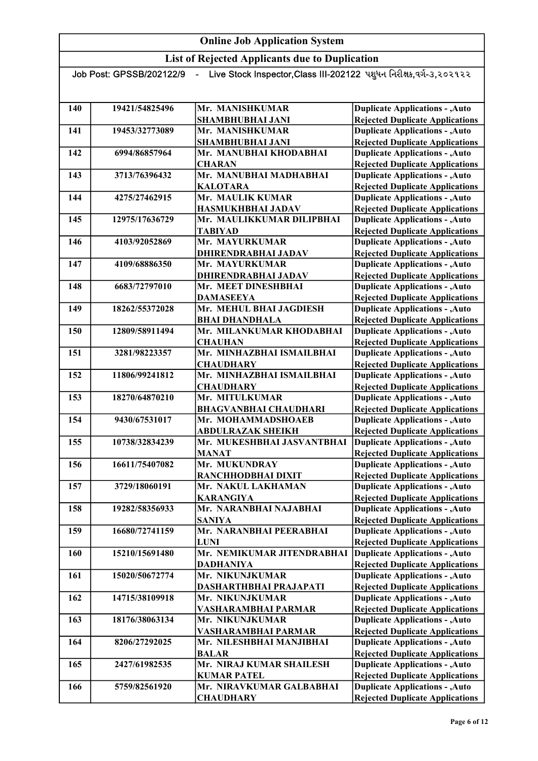List of Rejected Applicants due to Duplication Job Post: GPSSB/202122/9 - Live Stock Inspector, Class III-202122 પશુધન નિરીક્ષક,વર્ગ-૩,૨૦૨૧૨૨ 140 19421/54825496 Mr. MANISHKUMAR SHAMBHUBHAI JANI 141 19453/32773089 Mr. MANISHKUMAR SHAMBHUBHAI JANI 142 6994/86857964 Mr. MANUBHAI KHODABHAI **CHARAN** 143 3713/76396432 Mr. MANUBHAI MADHABHAI KALOTARA 144 4275/27462915 Mr. MAULIK KUMAR HASMUKHBHAI JADAV 145 12975/17636729 Mr. MAULIKKUMAR DILIPBHAI TABIYAD 146 4103/92052869 Mr. MAYURKUMAR DHIRENDRABHAI JADAV 147 4109/68886350 Mr. MAYURKUMAR DHIRENDRABHAI JADAV 148 6683/72797010 Mr. MEET DINESHBHAI DAMASEEYA 149 18262/55372028 Mr. MEHUL BHAI JAGDIESH BHAI DHANDHALA 150 12809/58911494 Mr. MILANKUMAR KHODABHAI **CHAUHAN** 151 3281/98223357 Mr. MINHAZBHAI ISMAILBHAI **CHAUDHARY** 152 11806/99241812 Mr. MINHAZBHAI ISMAILBHAI **CHAUDHARY** 153 18270/64870210 Mr. MITULKUMAR BHAGVANBHAI CHAUDHARI 154 9430/67531017 Mr. MOHAMMADSHOAEB ABDULRAZAK SHEIKH 155 10738/32834239 Mr. MUKESHBHAI JASVANTBHAI MANAT 156 16611/75407082 Mr. MUKUNDRAY RANCHHODBHAI DIXIT 157 3729/18060191 Mr. NAKUL LAKHAMAN KARANGIYA 158 19282/58356933 Mr. NARANBHAI NAJABHAI SANIYA 159 16680/72741159 Mr. NARANBHAI PEERABHAI LUNI 160 15210/15691480 Mr. NEMIKUMAR JITENDRABHAI DADHANIYA 161 15020/50672774 Mr. NIKUNJKUMAR DASHARTHBHAI PRAJAPATI 162 14715/38109918 Mr. NIKUNJKUMAR VASHARAMBHAI PARMAR 163 18176/38063134 Mr. NIKUNJKUMAR VASHARAMBHAI PARMAR 164 8206/27292025 Mr. NILESHBHAI MANJIBHAI BALAR Duplicate Applications - ,Auto Rejected Duplicate Applications Duplicate Applications - ,Auto Rejected Duplicate Applications Duplicate Applications - ,Auto Rejected Duplicate Applications Duplicate Applications - ,Auto Rejected Duplicate Applications Duplicate Applications - ,Auto Rejected Duplicate Applications Duplicate Applications - ,Auto Rejected Duplicate Applications Duplicate Applications - ,Auto Rejected Duplicate Applications Duplicate Applications - ,Auto Rejected Duplicate Applications Duplicate Applications - ,Auto Rejected Duplicate Applications Duplicate Applications - ,Auto Rejected Duplicate Applications Duplicate Applications - ,Auto Rejected Duplicate Applications Duplicate Applications - ,Auto Rejected Duplicate Applications Duplicate Applications - ,Auto Rejected Duplicate Applications Duplicate Applications - ,Auto Rejected Duplicate Applications Duplicate Applications - ,Auto Rejected Duplicate Applications Duplicate Applications - ,Auto Rejected Duplicate Applications Duplicate Applications - ,Auto Rejected Duplicate Applications Duplicate Applications - ,Auto Rejected Duplicate Applications Duplicate Applications - ,Auto Rejected Duplicate Applications Duplicate Applications - ,Auto Rejected Duplicate Applications Duplicate Applications - ,Auto Rejected Duplicate Applications Duplicate Applications - ,Auto Rejected Duplicate Applications Duplicate Applications - ,Auto Rejected Duplicate Applications Duplicate Applications - ,Auto Rejected Duplicate Applications Duplicate Applications - ,Auto Rejected Duplicate Applications

165 2427/61982535 Mr. NIRAJ KUMAR SHAILESH

166 5759/82561920 Mr. NIRAVKUMAR GALBABHAI

KUMAR PATEL

**CHAUDHARY** 

Duplicate Applications - ,Auto Rejected Duplicate Applications Duplicate Applications - ,Auto Rejected Duplicate Applications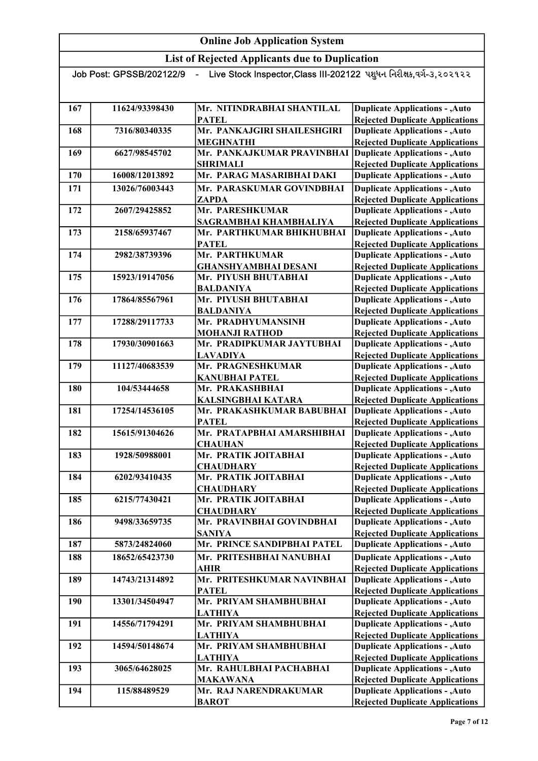| Live Stock Inspector,Class III-202122 પશુધન નિરીક્ષક,વર્ગ-૩,૨૦૨૧૨૨<br>Job Post: GPSSB/202122/9 |                |                                               |                                                                                  |
|------------------------------------------------------------------------------------------------|----------------|-----------------------------------------------|----------------------------------------------------------------------------------|
|                                                                                                |                |                                               |                                                                                  |
| 167                                                                                            | 11624/93398430 | Mr. NITINDRABHAI SHANTILAL                    | <b>Duplicate Applications - , Auto</b>                                           |
|                                                                                                |                | <b>PATEL</b>                                  | <b>Rejected Duplicate Applications</b>                                           |
| 168                                                                                            | 7316/80340335  | Mr. PANKAJGIRI SHAILESHGIRI                   | <b>Duplicate Applications - , Auto</b>                                           |
|                                                                                                |                | <b>MEGHNATHI</b>                              | <b>Rejected Duplicate Applications</b>                                           |
| 169                                                                                            | 6627/98545702  | Mr. PANKAJKUMAR PRAVINBHAI                    | <b>Duplicate Applications - , Auto</b>                                           |
|                                                                                                |                | <b>SHRIMALI</b>                               | <b>Rejected Duplicate Applications</b>                                           |
| 170                                                                                            | 16008/12013892 | Mr. PARAG MASARIBHAI DAKI                     | <b>Duplicate Applications - , Auto</b>                                           |
| 171                                                                                            | 13026/76003443 | Mr. PARASKUMAR GOVINDBHAI                     | <b>Duplicate Applications - , Auto</b>                                           |
|                                                                                                |                | <b>ZAPDA</b>                                  | <b>Rejected Duplicate Applications</b>                                           |
| 172                                                                                            | 2607/29425852  | Mr. PARESHKUMAR                               | <b>Duplicate Applications - , Auto</b>                                           |
|                                                                                                |                | SAGRAMBHAI KHAMBHALIYA                        | <b>Rejected Duplicate Applications</b>                                           |
| 173                                                                                            | 2158/65937467  | Mr. PARTHKUMAR BHIKHUBHAI                     | <b>Duplicate Applications - , Auto</b>                                           |
| 174                                                                                            |                | <b>PATEL</b>                                  | <b>Rejected Duplicate Applications</b>                                           |
|                                                                                                | 2982/38739396  | Mr. PARTHKUMAR<br><b>GHANSHYAMBHAI DESANI</b> | <b>Duplicate Applications - , Auto</b><br><b>Rejected Duplicate Applications</b> |
| 175                                                                                            | 15923/19147056 | Mr. PIYUSH BHUTABHAI                          | <b>Duplicate Applications - , Auto</b>                                           |
|                                                                                                |                | <b>BALDANIYA</b>                              | <b>Rejected Duplicate Applications</b>                                           |
| 176                                                                                            | 17864/85567961 | Mr. PIYUSH BHUTABHAI                          | <b>Duplicate Applications - , Auto</b>                                           |
|                                                                                                |                | <b>BALDANIYA</b>                              | <b>Rejected Duplicate Applications</b>                                           |
| 177                                                                                            | 17288/29117733 | Mr. PRADHYUMANSINH                            | <b>Duplicate Applications - , Auto</b>                                           |
|                                                                                                |                | <b>MOHANJI RATHOD</b>                         | <b>Rejected Duplicate Applications</b>                                           |
| 178                                                                                            | 17930/30901663 | Mr. PRADIPKUMAR JAYTUBHAI                     | <b>Duplicate Applications - , Auto</b>                                           |
|                                                                                                |                | <b>LAVADIYA</b>                               | <b>Rejected Duplicate Applications</b>                                           |
| 179                                                                                            | 11127/40683539 | Mr. PRAGNESHKUMAR                             | <b>Duplicate Applications - , Auto</b>                                           |
|                                                                                                |                | <b>KANUBHAI PATEL</b>                         | <b>Rejected Duplicate Applications</b>                                           |
| 180                                                                                            | 104/53444658   | Mr. PRAKASHBHAI                               | <b>Duplicate Applications - , Auto</b>                                           |
|                                                                                                |                | <b>KALSINGBHAI KATARA</b>                     | <b>Rejected Duplicate Applications</b>                                           |
| 181                                                                                            | 17254/14536105 | Mr. PRAKASHKUMAR BABUBHAI                     | <b>Duplicate Applications - , Auto</b>                                           |
|                                                                                                | 15615/91304626 | <b>PATEL</b><br>Mr. PRATAPBHAI AMARSHIBHAI    | <b>Rejected Duplicate Applications</b>                                           |
| 182                                                                                            |                | <b>CHAUHAN</b>                                | <b>Duplicate Applications - , Auto</b><br><b>Rejected Duplicate Applications</b> |
| 183                                                                                            | 1928/50988001  | Mr. PRATIK JOITABHAI                          | <b>Duplicate Applications - , Auto</b>                                           |
|                                                                                                |                | <b>CHAUDHARY</b>                              | <b>Rejected Duplicate Applications</b>                                           |
| 184                                                                                            | 6202/93410435  | Mr. PRATIK JOITABHAI                          | <b>Duplicate Applications - , Auto</b>                                           |
|                                                                                                |                | <b>CHAUDHARY</b>                              | <b>Rejected Duplicate Applications</b>                                           |
| 185                                                                                            | 6215/77430421  | Mr. PRATIK JOITABHAI                          | <b>Duplicate Applications - , Auto</b>                                           |
|                                                                                                |                | <b>CHAUDHARY</b>                              | <b>Rejected Duplicate Applications</b>                                           |
| 186                                                                                            | 9498/33659735  | Mr. PRAVINBHAI GOVINDBHAI                     | <b>Duplicate Applications - , Auto</b>                                           |
|                                                                                                |                | <b>SANIYA</b>                                 | <b>Rejected Duplicate Applications</b>                                           |
| 187                                                                                            | 5873/24824060  | Mr. PRINCE SANDIPBHAI PATEL                   | <b>Duplicate Applications - , Auto</b>                                           |
| 188                                                                                            | 18652/65423730 | Mr. PRITESHBHAI NANUBHAI                      | <b>Duplicate Applications - , Auto</b>                                           |
|                                                                                                |                | <b>AHIR</b>                                   | <b>Rejected Duplicate Applications</b>                                           |
| 189                                                                                            | 14743/21314892 | Mr. PRITESHKUMAR NAVINBHAI                    | <b>Duplicate Applications - , Auto</b>                                           |
|                                                                                                |                | <b>PATEL</b>                                  | <b>Rejected Duplicate Applications</b>                                           |
| 190                                                                                            | 13301/34504947 | Mr. PRIYAM SHAMBHUBHAI                        | <b>Duplicate Applications - , Auto</b>                                           |
|                                                                                                |                | <b>LATHIYA</b>                                | <b>Rejected Duplicate Applications</b>                                           |
| 191                                                                                            | 14556/71794291 | Mr. PRIYAM SHAMBHUBHAI                        | <b>Duplicate Applications - , Auto</b>                                           |
| 192                                                                                            | 14594/50148674 | <b>LATHIYA</b><br>Mr. PRIYAM SHAMBHUBHAI      | <b>Rejected Duplicate Applications</b>                                           |
|                                                                                                |                |                                               | <b>Duplicate Applications - , Auto</b><br><b>Rejected Duplicate Applications</b> |
| 193                                                                                            | 3065/64628025  | <b>LATHIYA</b><br>Mr. RAHULBHAI PACHABHAI     | <b>Duplicate Applications - , Auto</b>                                           |
|                                                                                                |                | <b>MAKAWANA</b>                               | <b>Rejected Duplicate Applications</b>                                           |
| 194                                                                                            | 115/88489529   | Mr. RAJ NARENDRAKUMAR                         | <b>Duplicate Applications - , Auto</b>                                           |
|                                                                                                |                | <b>BAROT</b>                                  | <b>Rejected Duplicate Applications</b>                                           |
|                                                                                                |                |                                               |                                                                                  |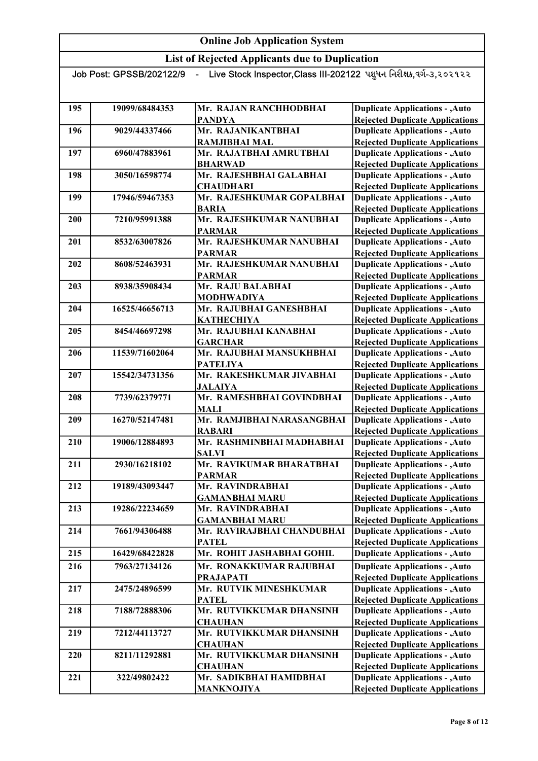List of Rejected Applicants due to Duplication

| Live Stock Inspector, Class III-202122 પશુધન નિરીક્ષક, વર્ગ-૩, ૨૦૨૧૨૨<br>Job Post: GPSSB/202122/9 |                |                            |                                        |
|---------------------------------------------------------------------------------------------------|----------------|----------------------------|----------------------------------------|
|                                                                                                   |                |                            |                                        |
|                                                                                                   |                |                            |                                        |
| 195                                                                                               | 19099/68484353 | Mr. RAJAN RANCHHODBHAI     | <b>Duplicate Applications - , Auto</b> |
|                                                                                                   |                | <b>PANDYA</b>              | <b>Rejected Duplicate Applications</b> |
| 196                                                                                               | 9029/44337466  | Mr. RAJANIKANTBHAI         | <b>Duplicate Applications - , Auto</b> |
|                                                                                                   |                | <b>RAMJIBHAI MAL</b>       | <b>Rejected Duplicate Applications</b> |
| 197                                                                                               | 6960/47883961  | Mr. RAJATBHAI AMRUTBHAI    | <b>Duplicate Applications - , Auto</b> |
|                                                                                                   |                | <b>BHARWAD</b>             | <b>Rejected Duplicate Applications</b> |
| 198                                                                                               | 3050/16598774  | Mr. RAJESHBHAI GALABHAI    | <b>Duplicate Applications - , Auto</b> |
|                                                                                                   |                | <b>CHAUDHARI</b>           | <b>Rejected Duplicate Applications</b> |
| 199                                                                                               | 17946/59467353 | Mr. RAJESHKUMAR GOPALBHAI  | <b>Duplicate Applications - , Auto</b> |
|                                                                                                   |                | <b>BARIA</b>               | <b>Rejected Duplicate Applications</b> |
| 200                                                                                               | 7210/95991388  | Mr. RAJESHKUMAR NANUBHAI   | <b>Duplicate Applications - , Auto</b> |
|                                                                                                   |                | <b>PARMAR</b>              | <b>Rejected Duplicate Applications</b> |
| 201                                                                                               | 8532/63007826  | Mr. RAJESHKUMAR NANUBHAI   | <b>Duplicate Applications - , Auto</b> |
|                                                                                                   |                | <b>PARMAR</b>              | <b>Rejected Duplicate Applications</b> |
| 202                                                                                               | 8608/52463931  | Mr. RAJESHKUMAR NANUBHAI   | <b>Duplicate Applications - , Auto</b> |
|                                                                                                   |                | <b>PARMAR</b>              | <b>Rejected Duplicate Applications</b> |
| 203                                                                                               | 8938/35908434  | Mr. RAJU BALABHAI          | <b>Duplicate Applications - , Auto</b> |
|                                                                                                   |                | <b>MODHWADIYA</b>          | <b>Rejected Duplicate Applications</b> |
| 204                                                                                               | 16525/46656713 | Mr. RAJUBHAI GANESHBHAI    | <b>Duplicate Applications - , Auto</b> |
|                                                                                                   |                | <b>KATHECHIYA</b>          | <b>Rejected Duplicate Applications</b> |
| 205                                                                                               | 8454/46697298  | Mr. RAJUBHAI KANABHAI      | <b>Duplicate Applications - , Auto</b> |
|                                                                                                   |                | <b>GARCHAR</b>             | <b>Rejected Duplicate Applications</b> |
| 206                                                                                               | 11539/71602064 | Mr. RAJUBHAI MANSUKHBHAI   | <b>Duplicate Applications - , Auto</b> |
|                                                                                                   |                | <b>PATELIYA</b>            | <b>Rejected Duplicate Applications</b> |
| 207                                                                                               | 15542/34731356 | Mr. RAKESHKUMAR JIVABHAI   | <b>Duplicate Applications - , Auto</b> |
|                                                                                                   |                | <b>JALAIYA</b>             | <b>Rejected Duplicate Applications</b> |
| 208                                                                                               | 7739/62379771  | Mr. RAMESHBHAI GOVINDBHAI  | <b>Duplicate Applications - , Auto</b> |
|                                                                                                   |                | <b>MALI</b>                | <b>Rejected Duplicate Applications</b> |
| 209                                                                                               | 16270/52147481 | Mr. RAMJIBHAI NARASANGBHAI | <b>Duplicate Applications - , Auto</b> |
|                                                                                                   |                | <b>RABARI</b>              | <b>Rejected Duplicate Applications</b> |
| 210                                                                                               | 19006/12884893 | Mr. RASHMINBHAI MADHABHAI  | <b>Duplicate Applications - , Auto</b> |
|                                                                                                   |                | <b>SALVI</b>               | <b>Rejected Duplicate Applications</b> |
| 211                                                                                               | 2930/16218102  | Mr. RAVIKUMAR BHARATBHAI   | <b>Duplicate Applications - , Auto</b> |
|                                                                                                   |                | PARMAR                     | <b>Rejected Duplicate Applications</b> |
| 212                                                                                               | 19189/43093447 | Mr. RAVINDRABHAI           | <b>Duplicate Applications - , Auto</b> |
|                                                                                                   |                | <b>GAMANBHAI MARU</b>      | <b>Rejected Duplicate Applications</b> |
| 213                                                                                               | 19286/22234659 | Mr. RAVINDRABHAI           | <b>Duplicate Applications - , Auto</b> |
|                                                                                                   |                | <b>GAMANBHAI MARU</b>      | <b>Rejected Duplicate Applications</b> |
| 214                                                                                               | 7661/94306488  | Mr. RAVIRAJBHAI CHANDUBHAI | <b>Duplicate Applications - , Auto</b> |
|                                                                                                   |                | <b>PATEL</b>               | <b>Rejected Duplicate Applications</b> |
| 215                                                                                               | 16429/68422828 | Mr. ROHIT JASHABHAI GOHIL  | <b>Duplicate Applications - , Auto</b> |
| 216                                                                                               | 7963/27134126  | Mr. RONAKKUMAR RAJUBHAI    | <b>Duplicate Applications - , Auto</b> |
|                                                                                                   |                | <b>PRAJAPATI</b>           | <b>Rejected Duplicate Applications</b> |
| 217                                                                                               | 2475/24896599  | Mr. RUTVIK MINESHKUMAR     | <b>Duplicate Applications - , Auto</b> |
|                                                                                                   |                | <b>PATEL</b>               | <b>Rejected Duplicate Applications</b> |
| 218                                                                                               | 7188/72888306  | Mr. RUTVIKKUMAR DHANSINH   | <b>Duplicate Applications - , Auto</b> |
|                                                                                                   |                | <b>CHAUHAN</b>             | <b>Rejected Duplicate Applications</b> |
| 219                                                                                               | 7212/44113727  | Mr. RUTVIKKUMAR DHANSINH   | <b>Duplicate Applications - , Auto</b> |
|                                                                                                   |                | <b>CHAUHAN</b>             | <b>Rejected Duplicate Applications</b> |
| 220                                                                                               | 8211/11292881  | Mr. RUTVIKKUMAR DHANSINH   | <b>Duplicate Applications - , Auto</b> |
|                                                                                                   |                | <b>CHAUHAN</b>             | <b>Rejected Duplicate Applications</b> |
| 221                                                                                               | 322/49802422   | Mr. SADIKBHAI HAMIDBHAI    | <b>Duplicate Applications - , Auto</b> |
|                                                                                                   |                | <b>MANKNOJIYA</b>          | <b>Rejected Duplicate Applications</b> |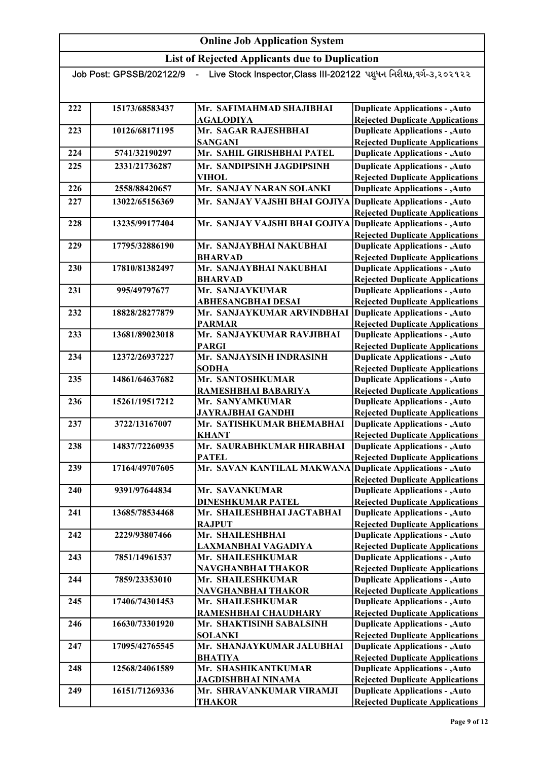| Live Stock Inspector,Class III-202122 પશુધન નિરીક્ષક,વર્ગ-૩,૨૦૨૧૨૨<br>Job Post: GPSSB/202122/9 |                |                                                            |                                                                                  |  |
|------------------------------------------------------------------------------------------------|----------------|------------------------------------------------------------|----------------------------------------------------------------------------------|--|
|                                                                                                |                |                                                            |                                                                                  |  |
|                                                                                                |                |                                                            |                                                                                  |  |
| 222                                                                                            | 15173/68583437 | Mr. SAFIMAHMAD SHAJIBHAI<br><b>AGALODIYA</b>               | <b>Duplicate Applications - , Auto</b>                                           |  |
| 223                                                                                            | 10126/68171195 | Mr. SAGAR RAJESHBHAI                                       | <b>Rejected Duplicate Applications</b><br><b>Duplicate Applications - , Auto</b> |  |
|                                                                                                |                | <b>SANGANI</b>                                             | <b>Rejected Duplicate Applications</b>                                           |  |
| 224                                                                                            | 5741/32190297  | Mr. SAHIL GIRISHBHAI PATEL                                 | <b>Duplicate Applications - , Auto</b>                                           |  |
| 225                                                                                            | 2331/21736287  | Mr. SANDIPSINH JAGDIPSINH                                  | <b>Duplicate Applications - , Auto</b>                                           |  |
|                                                                                                |                | <b>VIHOL</b>                                               | <b>Rejected Duplicate Applications</b>                                           |  |
| 226                                                                                            | 2558/88420657  | Mr. SANJAY NARAN SOLANKI                                   | <b>Duplicate Applications - , Auto</b>                                           |  |
| 227                                                                                            | 13022/65156369 | Mr. SANJAY VAJSHI BHAI GOJIYA                              | Duplicate Applications - , Auto                                                  |  |
|                                                                                                |                |                                                            | <b>Rejected Duplicate Applications</b>                                           |  |
| 228                                                                                            | 13235/99177404 | Mr. SANJAY VAJSHI BHAI GOJIYA                              | <b>Duplicate Applications - , Auto</b>                                           |  |
|                                                                                                |                |                                                            | <b>Rejected Duplicate Applications</b>                                           |  |
| 229                                                                                            | 17795/32886190 | Mr. SANJAYBHAI NAKUBHAI                                    | <b>Duplicate Applications - , Auto</b>                                           |  |
|                                                                                                |                | <b>BHARVAD</b>                                             | <b>Rejected Duplicate Applications</b>                                           |  |
| 230                                                                                            | 17810/81382497 | Mr. SANJAYBHAI NAKUBHAI                                    | <b>Duplicate Applications - , Auto</b>                                           |  |
|                                                                                                |                | <b>BHARVAD</b>                                             | <b>Rejected Duplicate Applications</b>                                           |  |
| 231                                                                                            | 995/49797677   | Mr. SANJAYKUMAR                                            | <b>Duplicate Applications - , Auto</b>                                           |  |
|                                                                                                |                | <b>ABHESANGBHAI DESAI</b>                                  | <b>Rejected Duplicate Applications</b>                                           |  |
| 232                                                                                            | 18828/28277879 | Mr. SANJAYKUMAR ARVINDBHAI Duplicate Applications - , Auto |                                                                                  |  |
|                                                                                                |                | <b>PARMAR</b>                                              | <b>Rejected Duplicate Applications</b>                                           |  |
| 233                                                                                            | 13681/89023018 | Mr. SANJAYKUMAR RAVJIBHAI                                  | <b>Duplicate Applications - , Auto</b>                                           |  |
|                                                                                                |                | <b>PARGI</b>                                               | <b>Rejected Duplicate Applications</b>                                           |  |
| 234                                                                                            | 12372/26937227 | Mr. SANJAYSINH INDRASINH                                   | <b>Duplicate Applications - , Auto</b>                                           |  |
|                                                                                                |                | <b>SODHA</b>                                               | <b>Rejected Duplicate Applications</b>                                           |  |
| 235                                                                                            | 14861/64637682 | Mr. SANTOSHKUMAR                                           | <b>Duplicate Applications - , Auto</b>                                           |  |
|                                                                                                |                | RAMESHBHAI BABARIYA                                        | <b>Rejected Duplicate Applications</b>                                           |  |
| 236                                                                                            | 15261/19517212 | Mr. SANYAMKUMAR                                            | <b>Duplicate Applications - , Auto</b>                                           |  |
| 237                                                                                            | 3722/13167007  | JAYRAJBHAI GANDHI<br>Mr. SATISHKUMAR BHEMABHAI             | <b>Rejected Duplicate Applications</b><br><b>Duplicate Applications - , Auto</b> |  |
|                                                                                                |                | <b>KHANT</b>                                               | <b>Rejected Duplicate Applications</b>                                           |  |
| 238                                                                                            | 14837/72260935 | Mr. SAURABHKUMAR HIRABHAI                                  | <b>Duplicate Applications - , Auto</b>                                           |  |
|                                                                                                |                | <b>PATEL</b>                                               | <b>Rejected Duplicate Applications</b>                                           |  |
| 239                                                                                            | 17164/49707605 | Mr. SAVAN KANTILAL MAKWANA Duplicate Applications - , Auto |                                                                                  |  |
|                                                                                                |                |                                                            | <b>Rejected Duplicate Applications</b>                                           |  |
| 240                                                                                            | 9391/97644834  | Mr. SAVANKUMAR                                             | <b>Duplicate Applications - , Auto</b>                                           |  |
|                                                                                                |                | <b>DINESHKUMAR PATEL</b>                                   | <b>Rejected Duplicate Applications</b>                                           |  |
| 241                                                                                            | 13685/78534468 | Mr. SHAILESHBHAI JAGTABHAI                                 | <b>Duplicate Applications - , Auto</b>                                           |  |
|                                                                                                |                | <b>RAJPUT</b>                                              | <b>Rejected Duplicate Applications</b>                                           |  |
| 242                                                                                            | 2229/93807466  | Mr. SHAILESHBHAI                                           | <b>Duplicate Applications - , Auto</b>                                           |  |
|                                                                                                |                | LAXMANBHAI VAGADIYA                                        | <b>Rejected Duplicate Applications</b>                                           |  |
| 243                                                                                            | 7851/14961537  | Mr. SHAILESHKUMAR                                          | <b>Duplicate Applications - , Auto</b>                                           |  |
|                                                                                                |                | NAVGHANBHAI THAKOR                                         | <b>Rejected Duplicate Applications</b>                                           |  |
| 244                                                                                            | 7859/23353010  | Mr. SHAILESHKUMAR                                          | <b>Duplicate Applications - , Auto</b>                                           |  |
|                                                                                                |                | NAVGHANBHAI THAKOR                                         | <b>Rejected Duplicate Applications</b>                                           |  |
| 245                                                                                            | 17406/74301453 | Mr. SHAILESHKUMAR                                          | <b>Duplicate Applications - , Auto</b>                                           |  |
| 246                                                                                            | 16630/73301920 | RAMESHBHAI CHAUDHARY<br>Mr. SHAKTISINH SABALSINH           | <b>Rejected Duplicate Applications</b><br><b>Duplicate Applications - , Auto</b> |  |
|                                                                                                |                | <b>SOLANKI</b>                                             | <b>Rejected Duplicate Applications</b>                                           |  |
| 247                                                                                            | 17095/42765545 | Mr. SHANJAYKUMAR JALUBHAI                                  | <b>Duplicate Applications - , Auto</b>                                           |  |
|                                                                                                |                | <b>BHATIYA</b>                                             | <b>Rejected Duplicate Applications</b>                                           |  |
| 248                                                                                            | 12568/24061589 | Mr. SHASHIKANTKUMAR                                        | <b>Duplicate Applications - , Auto</b>                                           |  |
|                                                                                                |                | <b>JAGDISHBHAI NINAMA</b>                                  | <b>Rejected Duplicate Applications</b>                                           |  |
| 249                                                                                            | 16151/71269336 | Mr. SHRAVANKUMAR VIRAMJI                                   | <b>Duplicate Applications - , Auto</b>                                           |  |
|                                                                                                |                | <b>THAKOR</b>                                              | <b>Rejected Duplicate Applications</b>                                           |  |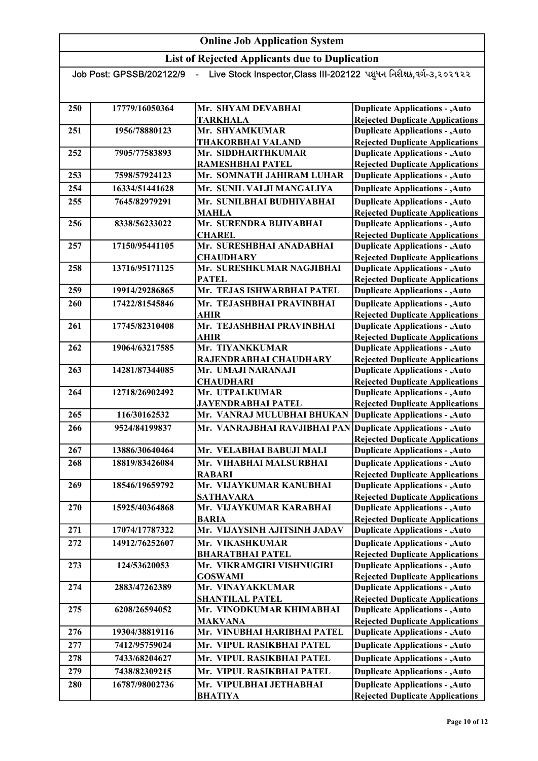List of Rejected Applicants due to Duplication

Job Post: GPSSB/202122/9 - Live Stock Inspector,Class III-202122 પશુધન નિરીક્ષક,વર્ગ-૩,૨૦૨૧૨૨ 250 17779/16050364 Mr. SHYAM DEVABHAI TARKHALA 251 1956/78880123 Mr. SHYAMKUMAR THAKORBHAI VALAND 252 7905/77583893 Mr. SIDDHARTHKUMAR RAMESHBHAI PATEL 253 7598/57924123 Mr. SOMNATH JAHIRAM LUHAR 254 16334/51441628 Mr. SUNIL VALJI MANGALIYA 255 7645/82979291 Mr. SUNILBHAI BUDHIYABHAI MAHLA 256 8338/56233022 Mr. SURENDRA BIJIYABHAI CHAREL 257 17150/95441105 Mr. SURESHBHAI ANADABHAI **CHAUDHARY** 258 13716/95171125 Mr. SURESHKUMAR NAGJIBHAI PATEL 259 19914/29286865 Mr. TEJAS ISHWARBHAI PATEL 260 17422/81545846 Mr. TEJASHBHAI PRAVINBHAI AHIR 261 17745/82310408 Mr. TEJASHBHAI PRAVINBHAI AHIR 262 19064/63217585 Mr. TIYANKKUMAR RAJENDRABHAI CHAUDHARY 263 14281/87344085 Mr. UMAJI NARANAJI **CHAUDHARI** 264 12718/26902492 Mr. UTPALKUMAR JAYENDRABHAI PATEL 265 116/30162532 Mr. VANRAJ MULUBHAI BHUKAN 266 9524/84199837 Mr. VANRAJBHAI RAVJIBHAI PAN 267 13886/30640464 Mr. VELABHAI BABUJI MALI 268 18819/83426084 Mr. VIHABHAI MALSURBHAI RABARI 269 18546/19659792 Mr. VIJAYKUMAR KANUBHAI SATHAVARA 270 15925/40364868 Mr. VIJAYKUMAR KARABHAI BARIA 271 17074/17787322 Mr. VIJAYSINH AJITSINH JADAV 272 14912/76252607 Mr. VIKASHKUMAR BHARATBHAI PATEL 273 124/53620053 Mr. VIKRAMGIRI VISHNUGIRI GOSWAMI 274 2883/47262389 Mr. VINAYAKKUMAR SHANTILAL PATEL 275 6208/26594052 Mr. VINODKUMAR KHIMABHAI MAKVANA 276 19304/38819116 Mr. VINUBHAI HARIBHAI PATEL 277 7412/95759024 Mr. VIPUL RASIKBHAI PATEL 278 7433/68204627 Mr. VIPUL RASIKBHAI PATEL 279 7438/82309215 Mr. VIPUL RASIKBHAI PATEL 280 16787/98002736 Mr. VIPULBHAI JETHABHAI Duplicate Applications - ,Auto Rejected Duplicate Applications Duplicate Applications - ,Auto **Duplicate Applications - ,Auto Duplicate Applications - ,Auto Duplicate Applications - ,Auto** Duplicate Applications - ,Auto Rejected Duplicate Applications Duplicate Applications - ,Auto Rejected Duplicate Applications Duplicate Applications - ,Auto **Duplicate Applications - ,Auto** Rejected Duplicate Applications Duplicate Applications - ,Auto Rejected Duplicate Applications Duplicate Applications - ,Auto Rejected Duplicate Applications Duplicate Applications - ,Auto Rejected Duplicate Applications Duplicate Applications - ,Auto Rejected Duplicate Applications Duplicate Applications - ,Auto **Duplicate Applications - ,Auto** Rejected Duplicate Applications Duplicate Applications - ,Auto **Duplicate Applications - ,Auto** Rejected Duplicate Applications Duplicate Applications - ,Auto Rejected Duplicate Applications Duplicate Applications - ,Auto Rejected Duplicate Applications Duplicate Applications - ,Auto **Duplicate Applications - ,Auto** Rejected Duplicate Applications Duplicate Applications - ,Auto Rejected Duplicate Applications Duplicate Applications - ,Auto Rejected Duplicate Applications Duplicate Applications - ,Auto Rejected Duplicate Applications Duplicate Applications - ,Auto Rejected Duplicate Applications Duplicate Applications - ,Auto **Duplicate Applications - ,Auto Duplicate Applications - ,Auto** Rejected Duplicate Applications Duplicate Applications - ,Auto Rejected Duplicate Applications Duplicate Applications - ,Auto Rejected Duplicate Applications

BHATIYA

**Duplicate Applications - ,Auto** Rejected Duplicate Applications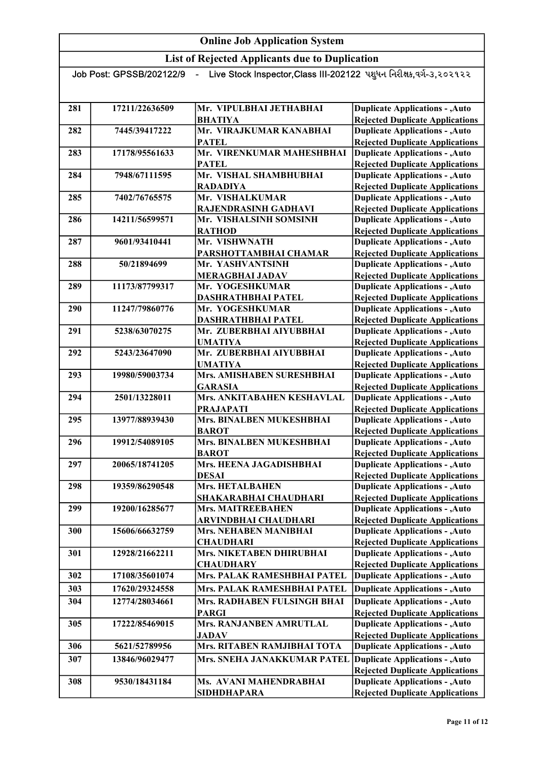List of Rejected Applicants due to Duplication

| Live Stock Inspector, Class III-202122 પશુધન નિરીક્ષક, વર્ગ-૩, ૨૦૨૧૨૨<br>Job Post: GPSSB/202122/9<br>$\blacksquare$ |                |                                                             |                                                                                  |
|---------------------------------------------------------------------------------------------------------------------|----------------|-------------------------------------------------------------|----------------------------------------------------------------------------------|
|                                                                                                                     |                |                                                             |                                                                                  |
| 281                                                                                                                 | 17211/22636509 | Mr. VIPULBHAI JETHABHAI<br><b>BHATIYA</b>                   | <b>Duplicate Applications - , Auto</b>                                           |
|                                                                                                                     |                | Mr. VIRAJKUMAR KANABHAI                                     | <b>Rejected Duplicate Applications</b>                                           |
| 282                                                                                                                 | 7445/39417222  | <b>PATEL</b>                                                | <b>Duplicate Applications - , Auto</b><br><b>Rejected Duplicate Applications</b> |
| 283                                                                                                                 | 17178/95561633 | Mr. VIRENKUMAR MAHESHBHAI                                   | <b>Duplicate Applications - , Auto</b>                                           |
|                                                                                                                     |                | <b>PATEL</b>                                                | <b>Rejected Duplicate Applications</b>                                           |
| 284                                                                                                                 | 7948/67111595  | Mr. VISHAL SHAMBHUBHAI                                      | <b>Duplicate Applications - , Auto</b>                                           |
|                                                                                                                     |                | <b>RADADIYA</b>                                             | <b>Rejected Duplicate Applications</b>                                           |
| 285                                                                                                                 | 7402/76765575  | Mr. VISHALKUMAR                                             | <b>Duplicate Applications - , Auto</b>                                           |
|                                                                                                                     |                | RAJENDRASINH GADHAVI                                        | <b>Rejected Duplicate Applications</b>                                           |
| 286                                                                                                                 | 14211/56599571 | Mr. VISHALSINH SOMSINH                                      | <b>Duplicate Applications - , Auto</b>                                           |
|                                                                                                                     |                | <b>RATHOD</b>                                               | <b>Rejected Duplicate Applications</b>                                           |
| 287                                                                                                                 | 9601/93410441  | Mr. VISHWNATH                                               | <b>Duplicate Applications - , Auto</b>                                           |
|                                                                                                                     |                | PARSHOTTAMBHAI CHAMAR                                       | <b>Rejected Duplicate Applications</b>                                           |
| 288                                                                                                                 | 50/21894699    | Mr. YASHVANTSINH                                            | <b>Duplicate Applications - , Auto</b>                                           |
|                                                                                                                     |                | <b>MERAGBHAI JADAV</b>                                      | <b>Rejected Duplicate Applications</b>                                           |
| 289                                                                                                                 | 11173/87799317 | Mr. YOGESHKUMAR                                             | <b>Duplicate Applications - , Auto</b>                                           |
| 290                                                                                                                 | 11247/79860776 | DASHRATHBHAI PATEL<br>Mr. YOGESHKUMAR                       | <b>Rejected Duplicate Applications</b><br><b>Duplicate Applications - , Auto</b> |
|                                                                                                                     |                | DASHRATHBHAI PATEL                                          | <b>Rejected Duplicate Applications</b>                                           |
| 291                                                                                                                 | 5238/63070275  | Mr. ZUBERBHAI AIYUBBHAI                                     | <b>Duplicate Applications - , Auto</b>                                           |
|                                                                                                                     |                | <b>UMATIYA</b>                                              | <b>Rejected Duplicate Applications</b>                                           |
| 292                                                                                                                 | 5243/23647090  | Mr. ZUBERBHAI AIYUBBHAI                                     | <b>Duplicate Applications - , Auto</b>                                           |
|                                                                                                                     |                | <b>UMATIYA</b>                                              | <b>Rejected Duplicate Applications</b>                                           |
| 293                                                                                                                 | 19980/59003734 | Mrs. AMISHABEN SURESHBHAI                                   | <b>Duplicate Applications - , Auto</b>                                           |
|                                                                                                                     |                | <b>GARASIA</b>                                              | <b>Rejected Duplicate Applications</b>                                           |
| 294                                                                                                                 | 2501/13228011  | Mrs. ANKITABAHEN KESHAVLAL                                  | <b>Duplicate Applications - , Auto</b>                                           |
|                                                                                                                     |                | <b>PRAJAPATI</b>                                            | <b>Rejected Duplicate Applications</b>                                           |
| 295                                                                                                                 | 13977/88939430 | Mrs. BINALBEN MUKESHBHAI                                    | <b>Duplicate Applications - , Auto</b>                                           |
|                                                                                                                     |                | <b>BAROT</b>                                                | <b>Rejected Duplicate Applications</b>                                           |
| 296                                                                                                                 | 19912/54089105 | Mrs. BINALBEN MUKESHBHAI<br><b>BAROT</b>                    | <b>Duplicate Applications - , Auto</b>                                           |
| 297                                                                                                                 | 20065/18741205 | Mrs. HEENA JAGADISHBHAI                                     | <b>Rejected Duplicate Applications</b><br><b>Duplicate Applications - , Auto</b> |
|                                                                                                                     |                | <b>DESAI</b>                                                | <b>Rejected Duplicate Applications</b>                                           |
| 298                                                                                                                 | 19359/86290548 | <b>Mrs. HETALBAHEN</b>                                      | <b>Duplicate Applications - , Auto</b>                                           |
|                                                                                                                     |                | SHAKARABHAI CHAUDHARI                                       | <b>Rejected Duplicate Applications</b>                                           |
| 299                                                                                                                 | 19200/16285677 | <b>Mrs. MAITREEBAHEN</b>                                    | <b>Duplicate Applications - , Auto</b>                                           |
|                                                                                                                     |                | ARVINDBHAI CHAUDHARI                                        | <b>Rejected Duplicate Applications</b>                                           |
| 300                                                                                                                 | 15606/66632759 | <b>Mrs. NEHABEN MANIBHAI</b>                                | <b>Duplicate Applications - , Auto</b>                                           |
|                                                                                                                     |                | <b>CHAUDHARI</b>                                            | <b>Rejected Duplicate Applications</b>                                           |
| 301                                                                                                                 | 12928/21662211 | Mrs. NIKETABEN DHIRUBHAI                                    | <b>Duplicate Applications - , Auto</b>                                           |
|                                                                                                                     |                | <b>CHAUDHARY</b>                                            | <b>Rejected Duplicate Applications</b>                                           |
| 302                                                                                                                 | 17108/35601074 | Mrs. PALAK RAMESHBHAI PATEL                                 | <b>Duplicate Applications - , Auto</b>                                           |
| 303                                                                                                                 | 17620/29324558 | Mrs. PALAK RAMESHBHAI PATEL                                 | <b>Duplicate Applications - , Auto</b>                                           |
| 304                                                                                                                 | 12774/28034661 | Mrs. RADHABEN FULSINGH BHAI                                 | <b>Duplicate Applications - , Auto</b>                                           |
|                                                                                                                     |                | <b>PARGI</b>                                                | <b>Rejected Duplicate Applications</b>                                           |
| 305                                                                                                                 | 17222/85469015 | Mrs. RANJANBEN AMRUTLAL                                     | <b>Duplicate Applications - , Auto</b>                                           |
|                                                                                                                     |                | <b>JADAV</b><br>Mrs. RITABEN RAMJIBHAI TOTA                 | <b>Rejected Duplicate Applications</b>                                           |
| 306                                                                                                                 | 5621/52789956  |                                                             | <b>Duplicate Applications - , Auto</b>                                           |
| 307                                                                                                                 | 13846/96029477 | Mrs. SNEHA JANAKKUMAR PATEL Duplicate Applications - , Auto |                                                                                  |
| 308                                                                                                                 | 9530/18431184  | Ms. AVANI MAHENDRABHAI                                      | <b>Rejected Duplicate Applications</b><br><b>Duplicate Applications - , Auto</b> |
|                                                                                                                     |                |                                                             |                                                                                  |

SIDHDHAPARA

Duplicate Applications - ,Auto Rejected Duplicate Applications